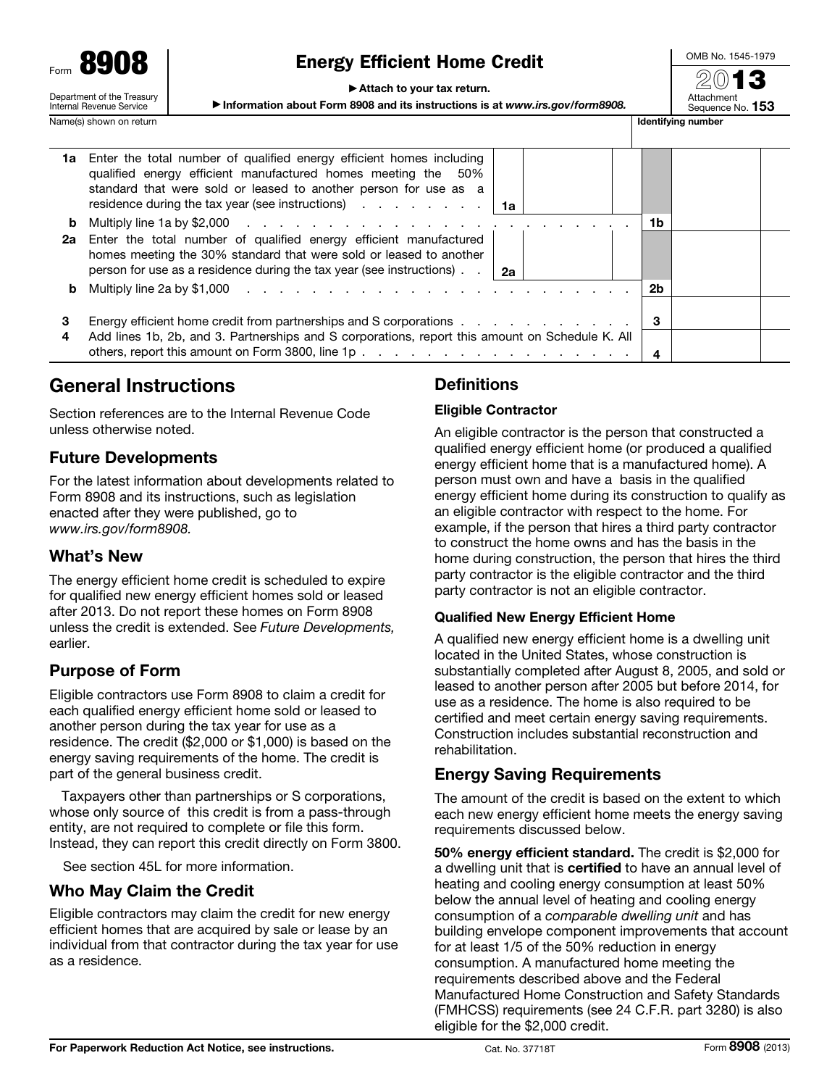**8908** Department of the Treasury

#### Internal Revenue Service Name(s) shown on return in the state of the state of the state of the state of the state of the state of the state of the state of the state of the state of the state of the state of the state of the state of the state of

# Energy Efficient Home Credit

OMB No. 1545-1979

▶ Attach to your tax return.

▶ Information about Form 8908 and its instructions is at *www.irs.gov/form8908.* Sequence No. 153



|    | 1a Enter the total number of qualified energy efficient homes including<br>qualified energy efficient manufactured homes meeting the 50%<br>standard that were sold or leased to another person for use as a<br>residence during the tax year (see instructions) $\cdots$ $\cdots$ $\cdots$ $\cdots$ |    |  |
|----|------------------------------------------------------------------------------------------------------------------------------------------------------------------------------------------------------------------------------------------------------------------------------------------------------|----|--|
| b  |                                                                                                                                                                                                                                                                                                      | 1b |  |
| 2a | Enter the total number of qualified energy efficient manufactured<br>homes meeting the 30% standard that were sold or leased to another<br>person for use as a residence during the tax year (see instructions) $\ldots$   2a                                                                        |    |  |
| b  |                                                                                                                                                                                                                                                                                                      | 2b |  |
| З  | Energy efficient home credit from partnerships and S corporations                                                                                                                                                                                                                                    | 3  |  |
|    | Add lines 1b, 2b, and 3. Partnerships and S corporations, report this amount on Schedule K. All                                                                                                                                                                                                      | 4  |  |

## General Instructions

Section references are to the Internal Revenue Code unless otherwise noted.

### Future Developments

For the latest information about developments related to Form 8908 and its instructions, such as legislation enacted after they were published, go to *www.irs.gov/form8908.*

### What's New

The energy efficient home credit is scheduled to expire for qualified new energy efficient homes sold or leased after 2013. Do not report these homes on Form 8908 unless the credit is extended. See *Future Developments,* earlier.

## Purpose of Form

Eligible contractors use Form 8908 to claim a credit for each qualified energy efficient home sold or leased to another person during the tax year for use as a residence. The credit (\$2,000 or \$1,000) is based on the energy saving requirements of the home. The credit is part of the general business credit.

Taxpayers other than partnerships or S corporations, whose only source of this credit is from a pass-through entity, are not required to complete or file this form. Instead, they can report this credit directly on Form 3800.

See section 45L for more information.

### Who May Claim the Credit

Eligible contractors may claim the credit for new energy efficient homes that are acquired by sale or lease by an individual from that contractor during the tax year for use as a residence.

## **Definitions**

#### Eligible Contractor

An eligible contractor is the person that constructed a qualified energy efficient home (or produced a qualified energy efficient home that is a manufactured home). A person must own and have a basis in the qualified energy efficient home during its construction to qualify as an eligible contractor with respect to the home. For example, if the person that hires a third party contractor to construct the home owns and has the basis in the home during construction, the person that hires the third party contractor is the eligible contractor and the third party contractor is not an eligible contractor.

#### Qualified New Energy Efficient Home

A qualified new energy efficient home is a dwelling unit located in the United States, whose construction is substantially completed after August 8, 2005, and sold or leased to another person after 2005 but before 2014, for use as a residence. The home is also required to be certified and meet certain energy saving requirements. Construction includes substantial reconstruction and rehabilitation.

### Energy Saving Requirements

The amount of the credit is based on the extent to which each new energy efficient home meets the energy saving requirements discussed below.

50% energy efficient standard. The credit is \$2,000 for a dwelling unit that is certified to have an annual level of heating and cooling energy consumption at least 50% below the annual level of heating and cooling energy consumption of a *comparable dwelling unit* and has building envelope component improvements that account for at least 1/5 of the 50% reduction in energy consumption. A manufactured home meeting the requirements described above and the Federal Manufactured Home Construction and Safety Standards (FMHCSS) requirements (see 24 C.F.R. part 3280) is also eligible for the \$2,000 credit.